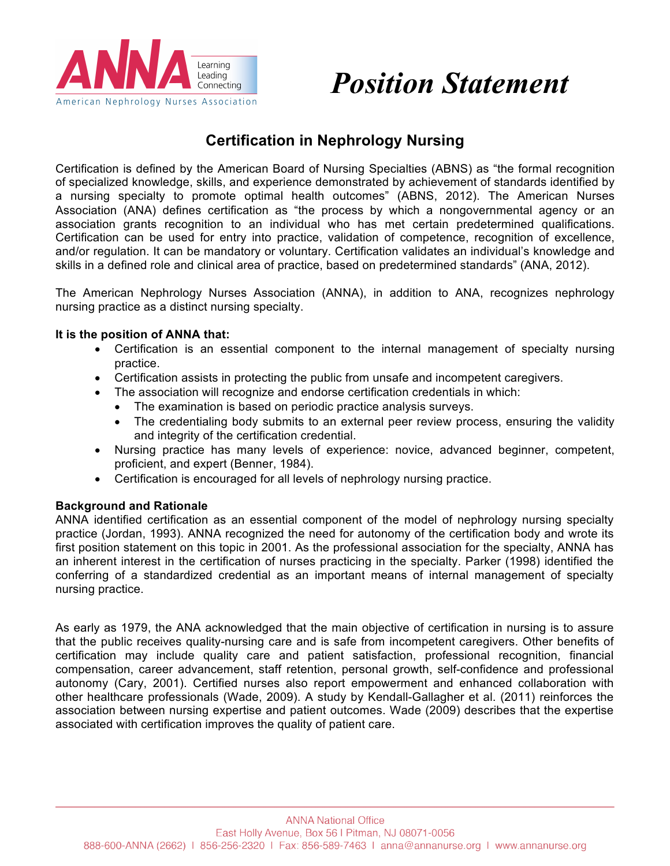

# *Position Statement*

## **Certification in Nephrology Nursing**

Certification is defined by the American Board of Nursing Specialties (ABNS) as "the formal recognition of specialized knowledge, skills, and experience demonstrated by achievement of standards identified by a nursing specialty to promote optimal health outcomes" (ABNS, 2012). The American Nurses Association (ANA) defines certification as "the process by which a nongovernmental agency or an association grants recognition to an individual who has met certain predetermined qualifications. Certification can be used for entry into practice, validation of competence, recognition of excellence, and/or regulation. It can be mandatory or voluntary. Certification validates an individual's knowledge and skills in a defined role and clinical area of practice, based on predetermined standards" (ANA, 2012).

The American Nephrology Nurses Association (ANNA), in addition to ANA, recognizes nephrology nursing practice as a distinct nursing specialty.

#### **It is the position of ANNA that:**

- Certification is an essential component to the internal management of specialty nursing practice.
- Certification assists in protecting the public from unsafe and incompetent caregivers.
- The association will recognize and endorse certification credentials in which:
	- The examination is based on periodic practice analysis surveys.
	- The credentialing body submits to an external peer review process, ensuring the validity and integrity of the certification credential.
- Nursing practice has many levels of experience: novice, advanced beginner, competent, proficient, and expert (Benner, 1984).
- Certification is encouraged for all levels of nephrology nursing practice.

#### **Background and Rationale**

ANNA identified certification as an essential component of the model of nephrology nursing specialty practice (Jordan, 1993). ANNA recognized the need for autonomy of the certification body and wrote its first position statement on this topic in 2001. As the professional association for the specialty, ANNA has an inherent interest in the certification of nurses practicing in the specialty. Parker (1998) identified the conferring of a standardized credential as an important means of internal management of specialty nursing practice.

As early as 1979, the ANA acknowledged that the main objective of certification in nursing is to assure that the public receives quality-nursing care and is safe from incompetent caregivers. Other benefits of certification may include quality care and patient satisfaction, professional recognition, financial compensation, career advancement, staff retention, personal growth, self-confidence and professional autonomy (Cary, 2001). Certified nurses also report empowerment and enhanced collaboration with other healthcare professionals (Wade, 2009). A study by Kendall-Gallagher et al. (2011) reinforces the association between nursing expertise and patient outcomes. Wade (2009) describes that the expertise associated with certification improves the quality of patient care.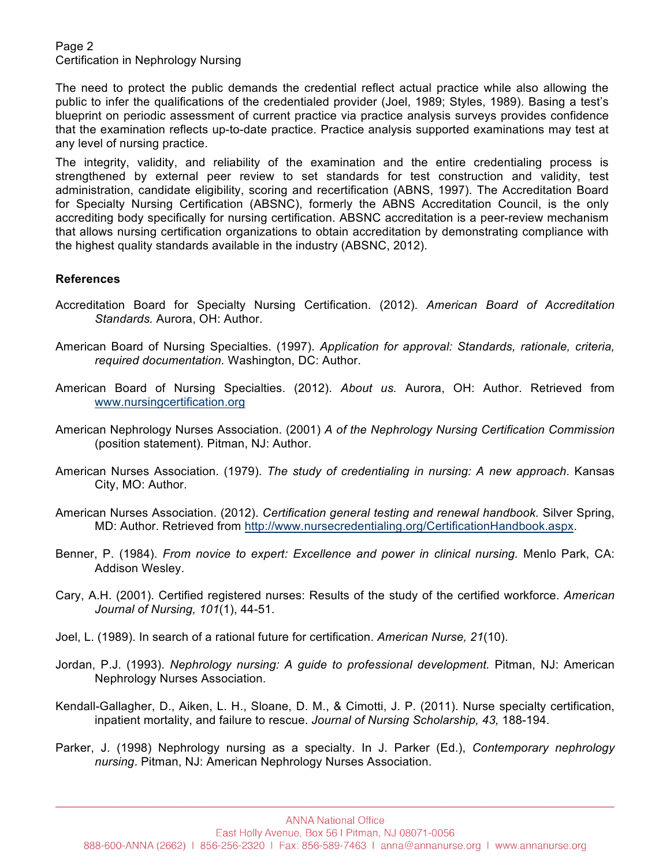Page 2 Certification in Nephrology Nursing

The need to protect the public demands the credential reflect actual practice while also allowing the public to infer the qualifications of the credentialed provider (Joel, 1989; Styles, 1989). Basing a test's blueprint on periodic assessment of current practice via practice analysis surveys provides confidence that the examination reflects up-to-date practice. Practice analysis supported examinations may test at any level of nursing practice.

The integrity, validity, and reliability of the examination and the entire credentialing process is strengthened by external peer review to set standards for test construction and validity, test administration, candidate eligibility, scoring and recertification (ABNS, 1997). The Accreditation Board for Specialty Nursing Certification (ABSNC), formerly the ABNS Accreditation Council, is the only accrediting body specifically for nursing certification. ABSNC accreditation is a peer-review mechanism that allows nursing certification organizations to obtain accreditation by demonstrating compliance with the highest quality standards available in the industry (ABSNC, 2012).

### **References**

- Accreditation Board for Specialty Nursing Certification. (2012). *American Board of Accreditation Standards.* Aurora, OH: Author.
- American Board of Nursing Specialties. (1997). *Application for approval: Standards, rationale, criteria, required documentation.* Washington, DC: Author.
- American Board of Nursing Specialties. (2012). *About us.* Aurora, OH: Author. Retrieved from www.nursingcertification.org
- American Nephrology Nurses Association. (2001) *A of the Nephrology Nursing Certification Commission* (position statement)*.* Pitman, NJ: Author.
- American Nurses Association. (1979). *The study of credentialing in nursing: A new approach*. Kansas City, MO: Author.
- American Nurses Association. (2012). *Certification general testing and renewal handbook.* Silver Spring, MD: Author. Retrieved from http://www.nursecredentialing.org/CertificationHandbook.aspx.
- Benner, P. (1984). *From novice to expert: Excellence and power in clinical nursing.* Menlo Park, CA: Addison Wesley.
- Cary, A.H. (2001). Certified registered nurses: Results of the study of the certified workforce. *American Journal of Nursing, 101*(1), 44-51.
- Joel, L. (1989). In search of a rational future for certification. *American Nurse, 21*(10).
- Jordan, P.J. (1993). *Nephrology nursing: A guide to professional development.* Pitman, NJ: American Nephrology Nurses Association.
- Kendall-Gallagher, D., Aiken, L. H., Sloane, D. M., & Cimotti, J. P. (2011). Nurse specialty certification, inpatient mortality, and failure to rescue. *Journal of Nursing Scholarship, 43,* 188-194.
- Parker, J. (1998) Nephrology nursing as a specialty. In J. Parker (Ed.), *Contemporary nephrology nursing*. Pitman, NJ: American Nephrology Nurses Association.